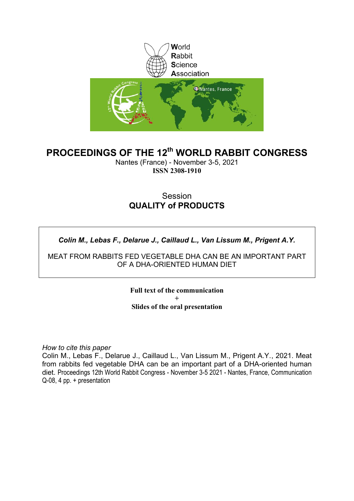

### **PROCEEDINGS OF THE 12th WORLD RABBIT CONGRESS**

Nantes (France) - November 3-5, 2021 **ISSN 2308-1910**

### Session **QUALITY of PRODUCTS**

### *Colin M., Lebas F., Delarue J., Caillaud L., Van Lissum M., Prigent A.Y.*

MEAT FROM RABBITS FED VEGETABLE DHA CAN BE AN IMPORTANT PART OF A DHA-ORIENTED HUMAN DIET

> **Full text of the communication + Slides of the oral presentation**

*How to cite this paper*

Colin M., Lebas F., Delarue J., Caillaud L., Van Lissum M., Prigent A.Y., 2021. Meat from rabbits fed vegetable DHA can be an important part of a DHA-oriented human diet. Proceedings 12th World Rabbit Congress - November 3-5 2021 - Nantes, France, Communication Q-08, 4 pp. + presentation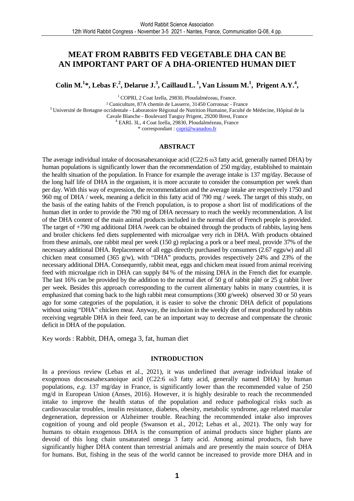### **MEAT FROM RABBITS FED VEGETABLE DHA CAN BE AN IMPORTANT PART OF A DHA-ORIENTED HUMAN DIET**

Colin M.<sup>1</sup>\*, Lebas F.<sup>2</sup>, Delarue J.<sup>3</sup>, Caillaud L.<sup>1</sup>, Van Lissum M.<sup>1</sup>, Prigent A.Y.<sup>4</sup>,

<sup>1</sup> COPRI, 2 Coat Izella, 29830, Ploudalmézeau, France. ² Cuniculture, 87A chemin de Lasserre, 31450 Corronsac - France <sup>3</sup> Université de Bretagne occidentale - Laboratoire Régional de Nutrition Humaine, Faculté de Médecine, Hôpital de la Cavale Blanche - Boulevard Tanguy Prigent, 29200 Brest, France 4 EARL 3L, 4 Coat Izella, 29830, Ploudalmézeau, France \* correspondant : copri@wanadoo.fr

#### **ABSTRACT**

The average individual intake of docosasahexanoique acid (C22:6 ω3 fatty acid, generally named DHA) by human populations is significantly lower than the recommendation of 250 mg/day, established to maintain the health situation of the population. In France for example the average intake is 137 mg/day. Because of the long half life of DHA in the organism, it is more accurate to consider the consumption per week than per day. With this way of expression, the recommendation and the average intake are respectively 1750 and 960 mg of DHA / week, meaning a deficit in this fatty acid of 790 mg / week. The target of this study, on the basis of the eating habits of the French population, is to propose a short list of modifications of the human diet in order to provide the 790 mg of DHA necessary to reach the weekly recommendation. A list of the DHA content of the main animal products included in the normal diet of French people is provided. The target of +790 mg additional DHA /week can be obtained through the products of rabbits, laying hens and broiler chickens fed diets supplemented with microalgae very rich in DHA. With products obtained from these animals, one rabbit meal per week (150 g) replacing a pork or a beef meal, provide 37% of the necessary additional DHA. Replacement of all eggs directly purchased by consumers (2.67 eggs/w) and all chicken meat consumed (365 g/w), with "DHA" products, provides respectively 24% and 23% of the necessary additional DHA. Consequently, rabbit meat, eggs and chicken meat issued from animal receiving feed with microalgae rich in DHA can supply 84 % of the missing DHA in the French diet for example. The last 16% can be provided by the addition to the normal diet of 50 g of rabbit pâté or 25 g rabbit liver per week. Besides this approach corresponding to the current alimentary habits in many countries, it is emphasized that coming back to the high rabbit meat consumptions (300 g/week) observed 30 or 50 years ago for some categories of the population, it is easier to solve the chronic DHA deficit of populations without using "DHA" chicken meat. Anyway, the inclusion in the weekly diet of meat produced by rabbits receiving vegetable DHA in their feed, can be an important way to decrease and compensate the chronic deficit in DHA of the population.

Key words : Rabbit, DHA, omega 3, fat, human diet

#### **INTRODUCTION**

In a previous review (Lebas et al., 2021), it was underlined that average individual intake of exogenous docosasahexanoique acid (C22:6 ω3 fatty acid, generally named DHA) by human populations, *e.g*. 137 mg/day in France, is significantly lower than the recommended value of 250 mg/d in European Union (Anses, 2016). However, it is highly desirable to reach the recommended intake to improve the health status of the population and reduce pathological risks such as cardiovascular troubles, insulin resistance, diabetes, obesity, metabolic syndrome, age related macular degeneration, depression or Alzheimer trouble. Reaching the recommended intake also improves cognition of young and old people (Swanson et al., 2012; Lebas et al., 2021). The only way for humans to obtain exogenous DHA is the consumption of animal products since higher plants are devoid of this long chain unsaturated omega 3 fatty acid. Among animal products, fish have significantly higher DHA content than terrestrial animals and are presently the main source of DHA for humans. But, fishing in the seas of the world cannot be increased to provide more DHA and in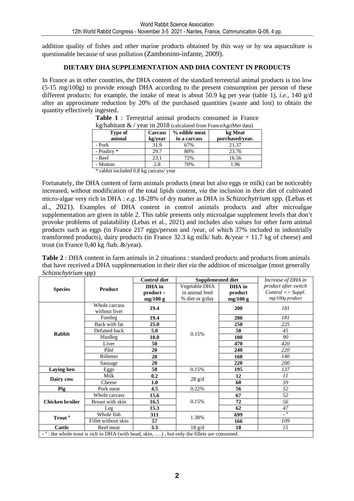addition quality of fishes and other marine products obtained by this way or by sea aquaculture is questionable because of seas pollution (Zambonino-infante, 2009).

#### **DIETARY DHA SUPPLEMENTATION AND DHA CONTENT IN PRODUCTS**

In France as in other countries, the DHA content of the standard terrestrial animal products is too low (5-15 mg/100g) to provide enough DHA according to the present consumption per person of these different products: for example, the intake of meat is about 50.9 kg per year (table 1), *i.e.,* 140 g/d after an approximate reduction by 20% of the purchased quantities (waste and lost) to obtain the quantity effectively ingested.

| $\kappa$ g/nabitant $\alpha$ /<br>year in 2018 (calculated from FranceAgriMer data) |                |               |                 |  |  |  |  |  |
|-------------------------------------------------------------------------------------|----------------|---------------|-----------------|--|--|--|--|--|
| Type of                                                                             | <b>Carcass</b> | % edible meat | kg Meat         |  |  |  |  |  |
| animal                                                                              | kg/year        | in a carcass  | purchased/vear. |  |  |  |  |  |
| - Pork                                                                              | 31.9           | 67%           | 21.37           |  |  |  |  |  |
| - Poultry *                                                                         | 29.7           | 80%           | 23.76           |  |  |  |  |  |
| - Beef                                                                              | 23.1           | 72%           | 16.56           |  |  |  |  |  |
| - Mutton                                                                            | 2.8            | 70%           | 1.96            |  |  |  |  |  |
| $46 - 111 + 11$<br>1001                                                             |                |               |                 |  |  |  |  |  |

**Table 1** : Terrestrial animal products consumed in France  $2018$  (calculated  $\overline{a}$ 

\* rabbit included 0.8 kg carcass/ year

Fortunately, the DHA content of farm animals products (meat but also eggs or milk) can be noticeably increased, without modification of the total lipids content, *via* the inclusion in their diet of cultivated micro-algae very rich in DHA : *e.g.* 18-28% of dry matter as DHA in *Schizochytrium* spp. (Lebas et al., 2021). Examples of DHA content in control animals products and after microalgae supplementation are given in table 2. This table presents only microalgae supplement levels that don't provoke problems of palatability (Lebas et al., 2021) and includes also values for other farm animal products such as eggs (in France 217 eggs/person and /year, of which 37% included in industrially transformed products), dairy products (in France 32.3 kg milk/ hab. &/year + 11.7 kg of cheese) and trout (in France 0,40 kg /hab. &/year).

**Table 2** : DHA content in farm animals in 2 situations : standard products and products from animals that have received a DHA supplementation in their diet *via* the addition of microalgae (most generally *Schizochytrium* spp)

|                                                                                                         |                                | <b>Control diet</b> | <b>Supplemented diet</b> |            | Increase of DHA in                  |  |
|---------------------------------------------------------------------------------------------------------|--------------------------------|---------------------|--------------------------|------------|-------------------------------------|--|
| <b>Species</b>                                                                                          | <b>Product</b>                 | DHA in              | Vegetable DHA            | DHA in     | product after switch                |  |
|                                                                                                         |                                | product –           | in animal feed           | product    | $Control \Rightarrow \text{Suppl.}$ |  |
|                                                                                                         |                                | mg/100 g            | % diet or g/day          | mg/100 g   | mg/100g product                     |  |
|                                                                                                         | Whole carcass<br>without liver | 19.4                |                          | 200        | 181                                 |  |
|                                                                                                         | Foreleg                        | 19.4                |                          | 200        | 181                                 |  |
| <b>Rabbit</b>                                                                                           | Back with fat                  | 25.0                |                          | 250        | 225                                 |  |
|                                                                                                         | Defatted back                  | 5.0                 | 0.15%                    | 50         | 45                                  |  |
|                                                                                                         | Hindleg                        | 10.0                |                          | 100        | 90                                  |  |
|                                                                                                         | Liver                          | 50                  |                          | 470        | 420                                 |  |
|                                                                                                         | Pâté                           | 20                  |                          | 240        | 220                                 |  |
|                                                                                                         | Rillettes                      | 20                  |                          | <b>160</b> | 140                                 |  |
|                                                                                                         | Sausage                        | 20                  |                          | 220        | 200                                 |  |
| <b>Laying</b> hen                                                                                       | Eggs                           | 58                  | 0.15%                    | 195        | 137                                 |  |
|                                                                                                         | Milk                           | 0.2                 |                          | 12         | 11                                  |  |
| Dairy cow                                                                                               | Cheese                         | 1.0                 | $28 \text{ g/d}$         | 60         | 59                                  |  |
| Pig                                                                                                     | Pork meat                      | 4.5                 | 0.22%                    | 56         | 52                                  |  |
| <b>Chicken broiler</b>                                                                                  | Whole carcass                  | 15.6                | 0.15%                    | 67         | 52                                  |  |
|                                                                                                         | Breast with skin               | 16.5                |                          | 72         | 56                                  |  |
|                                                                                                         | Leg                            | 15.3                |                          | 62         | 47                                  |  |
| Trout <sup>a</sup>                                                                                      | Whole fish                     | 311                 | 1.38%                    | 699        | $\overline{a}$                      |  |
|                                                                                                         | Fillet without skin            | 57                  |                          | 166        | 109                                 |  |
| <b>Cattle</b>                                                                                           | Beef meat                      | 3.3                 | $18 \text{ g/d}$         | 18         | 15                                  |  |
| - <sup>a</sup> : the whole trout is rich in DHA (with head, skin, ), but only the fillets are consumed. |                                |                     |                          |            |                                     |  |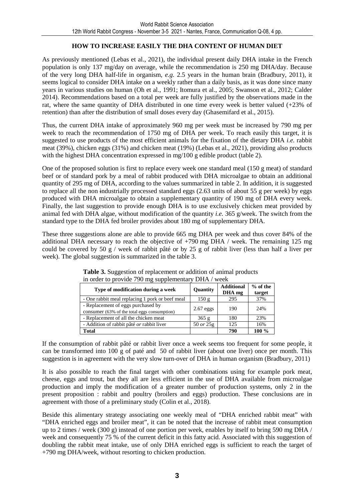#### **HOW TO INCREASE EASILY THE DHA CONTENT OF HUMAN DIET**

As previously mentioned (Lebas et al., 2021), the individual present daily DHA intake in the French population is only 137 mg/day on average, while the recommendation is 250 mg DHA/day. Because of the very long DHA half-life in organism, *e.g.* 2.5 years in the human brain (Bradbury, 2011), it seems logical to consider DHA intake on a weekly rather than a daily basis, as it was done since many years in various studies on human (Oh et al., 1991; Itomura et al., 2005; Swanson et al., 2012; Calder 2014). Recommendations based on a total per week are fully justified by the observations made in the rat, where the same quantity of DHA distributed in one time every week is better valued  $(+23\%$  of retention) than after the distribution of small doses every day (Ghasemifard et al., 2015).

Thus, the current DHA intake of approximately 960 mg per week must be increased by 790 mg per week to reach the recommendation of 1750 mg of DHA per week. To reach easily this target, it is suggested to use products of the most efficient animals for the fixation of the dietary DHA *i.e.* rabbit meat (39%), chicken eggs (31%) and chicken meat (19%) (Lebas et al., 2021), providing also products with the highest DHA concentration expressed in mg/100 g edible product (table 2).

One of the proposed solution is first to replace every week one standard meal (150 g meat) of standard beef or of standard pork by a meal of rabbit produced with DHA microalgae to obtain an additional quantity of 295 mg of DHA, according to the values summarized in table 2. In addition, it is suggested to replace all the non industrially processed standard eggs (2.63 units of about 55 g per week) by eggs produced with DHA microalgae to obtain a supplementary quantity of 190 mg of DHA every week. Finally, the last suggestion to provide enough DHA is to use exclusively chicken meat provided by animal fed with DHA algae, without modification of the quantity *i.e.* 365 g/week. The switch from the standard type to the DHA fed broiler provides about 180 mg of supplementary DHA.

These three suggestions alone are able to provide 665 mg DHA per week and thus cover 84% of the additional DHA necessary to reach the objective of +790 mg DHA / week. The remaining 125 mg could be covered by 50 g / week of rabbit pâté or by 25 g of rabbit liver (less than half a liver per week). The global suggestion is summarized in the table 3.

| Type of modification during a week                                                 | Quantity    | <b>Additional</b><br>DHA mg | $%$ of the<br>target |
|------------------------------------------------------------------------------------|-------------|-----------------------------|----------------------|
| - One rabbit meal replacing 1 pork or beef meal                                    | 150g        | 295                         | 37%                  |
| - Replacement of eggs purchased by<br>consumer (63% of the total eggs consumption) | $2.67$ eggs | 190                         | 24%                  |
| - Replacement of all the chicken meat                                              | 365g        | 180                         | 23%                  |
| - Addition of rabbit pâté or rabbit liver                                          | 50 or 25g   | 125                         | 16%                  |
| <b>Total</b>                                                                       |             | 790                         | 100 %                |

Table 3. Suggestion of replacement or addition of animal products in order to provide 790 mg supplementary DHA / week

If the consumption of rabbit pâté or rabbit liver once a week seems too frequent for some people, it can be transformed into 100 g of paté and 50 of rabbit liver (about one liver) once per month. This suggestion is in agreement with the very slow turn-over of DHA in human organism (Bradbury, 2011)

It is also possible to reach the final target with other combinations using for example pork meat, cheese, eggs and trout, but they all are less efficient in the use of DHA available from microalgae production and imply the modification of a greater number of production systems, only 2 in the present proposition : rabbit and poultry (broilers and eggs) production. These conclusions are in agreement with those of a preliminary study (Colin et al., 2018).

Beside this alimentary strategy associating one weekly meal of "DHA enriched rabbit meat" with "DHA enriched eggs and broiler meat", it can be noted that the increase of rabbit meat consumption up to 2 times / week (300 g) instead of one portion per week, enables by itself to bring 590 mg DHA / week and consequently 75 % of the current deficit in this fatty acid. Associated with this suggestion of doubling the rabbit meat intake, use of only DHA enriched eggs is sufficient to reach the target of +790 mg DHA/week, without resorting to chicken production.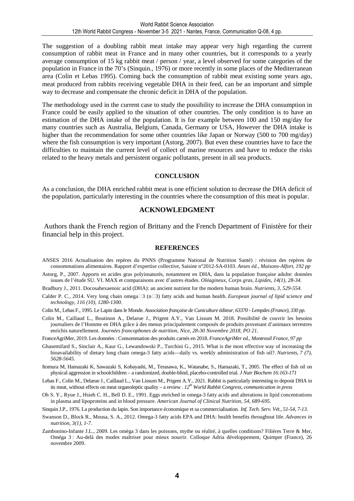The suggestion of a doubling rabbit meat intake may appear very high regarding the current consumption of rabbit meat in France and in many other countries, but it corresponds to a yearly average consumption of 15 kg rabbit meat / person / year, a level observed for some categories of the population in France in the 70's (Sinquin., 1976) or more recently in some places of the Mediterranean area (Colin et Lebas 1995). Coming back the consumption of rabbit meat existing some years ago, meat produced from rabbits receiving vegetable DHA in their feed, can be an important and simple way to decrease and compensate the chronic deficit in DHA of the population.

The methodology used in the current case to study the possibility to increase the DHA consumption in France could be easily applied to the situation of other countries. The only condition is to have an estimation of the DHA intake of the population. It is for example between 100 and 150 mg/day for many countries such as Australia, Belgium, Canada, Germany or USA, However the DHA intake is higher than the recommendation for some other countries like Japan or Norway (500 to 700 mg/day) where the fish consumption is very important (Astorg, 2007). But even these countries have to face the difficulties to maintain the current level of collect of marine resources and have to reduce the risks related to the heavy metals and persistent organic pollutants, present in all sea products.

#### **CONCLUSION**

As a conclusion, the DHA enriched rabbit meat is one efficient solution to decrease the DHA deficit of the population, particularly interesting in the countries where the consumption of this meat is popular.

#### **ACKNOWLEDGMENT**

 Authors thank the French region of Brittany and the French Department of Finistère for their financial help in this project.

#### **REFERENCES**

- ANSES 2016 Actualisation des repères du PNNS (Programme National de Nutrition Santé) : révision des repères de consommations alimentaires. Rapport d'expertise collective, Saisine n°2012-SA-0103. *Anses éd., Maisons-Alfort, 192 pp*
- Astorg, P., 2007. Apports en acides gras polyinsaturés, notamment en DHA, dans la population française adulte: données issues de l'étude SU. VI. MAX et comparaisons avec d'autres études. *Oléagineux, Corps gras, Lipides, 14(1), 28-34.*
- Bradbury J., 2011. Docosahexaenoic acid (DHA): an ancient nutrient for the modern human brain. *Nutrients, 3, 529-554.*
- Calder P. C., 2014. Very long chain omega<sup>[2]</sup> (n<sup>2</sup>3) fatty acids and human health. *European journal of lipid science and technology, 116 (10), 1280-1300.*
- Colin M., Lebas F., 1995. Le Lapin dans le Monde. *Association française de Cuniculture éditeur, 63370 Lempdes (France), 330 pp.*
- Colin M., Caillaud L., Boutinon A., Delarue J., Prigent A.Y., Van Lissum M. 2018. Possibilité de couvrir les besoins journaliers de l'Homme en DHA grâce à des menus principalement composés de produits provenant d'animaux terrestres enrichis naturellement. *Journées francophones de nutrition, Nice, 28-30 Novembre 2018, PO 21*.
- FranceAgriMer, 2019. Les données : Consommation des produits carnés en 2018. *FranceAgriMer ed., Montreuil France, 97 pp*
- Ghasemifard S., Sinclair A., Kaur G., Lewandowski P., Turchini G., 2015. What is the most effective way of increasing the bioavailability of dietary long chain omega-3 fatty acids—daily vs. weekly administration of fish oil?. *Nutrients, 7 (7), 5628-5645.*
- Itomura M, Hamazaki K, Sawazaki S, Kobayashi, M., Terasawa, K., Watanabe, S., Hamazaki, T., 2005. The effect of fish oil on physical aggression in schoolchildren – a randomized, double-blind, placebo-controlled trial*. J Nutr Biochem 16:163-171*
- Lebas F., Colin M., Delarue J., Caillaud L., Van Lissum M., Prigent A.Y., 2021. Rabbit is particularly interesting to deposit DHA in its meat, without effects on meat organoleptic quality – a review . *12th World Rabbit Congress, communication in press*
- Oh S. Y., Ryue J., Hsieh C. H., Bell D. E., 1991. Eggs enriched in omega-3 fatty acids and alterations in lipid concentrations in plasma and lipoproteins and in blood pressure. *American Journal of Clinical Nutrition, 54, 689-695.*
- Sinquin J.P., 1976. La production du lapin. Son importance économique et sa commercialisation*. Inf. Tech. Serv. Vét., 51-54, 7-13.*
- Swanson D., Block R., Mousa, S. A., 2012. Omega-3 fatty acids EPA and DHA: health benefits throughout life. *Advances in nutrition, 3(1), 1-7.*
- Zambonino-Infante J.L., 2009. Les oméga 3 dans les poissons, mythe ou réalité, à quelles conditions? Filières Terre & Mer, Oméga 3 : Au-delà des modes maîtriser pour mieux nourrir. Colloque Adria développement, Quimper (France), 26 novembre 2009.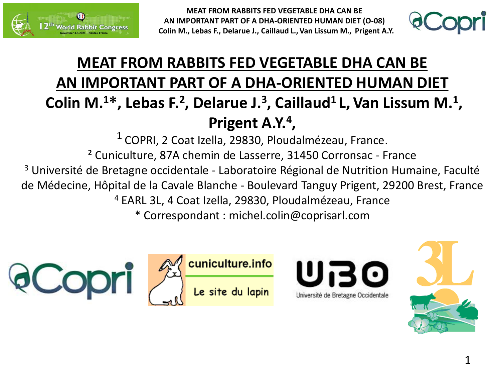



### **MEAT FROM RABBITS FED VEGETABLE DHA CAN BE AN IMPORTANT PART OF A DHA-ORIENTED HUMAN DIET Colin M.<sup>1</sup>\*, Lebas F.<sup>2</sup> , Delarue J.<sup>3</sup> , Caillaud<sup>1</sup>L,Van Lissum M.<sup>1</sup> , Prigent A.Y.<sup>4</sup> ,**

 $<sup>1</sup>$  COPRI, 2 Coat Izella, 29830, Ploudalmézeau, France.</sup> ² Cuniculture, 87A chemin de Lasserre, 31450 Corronsac - France <sup>3</sup> Université de Bretagne occidentale - Laboratoire Régional de Nutrition Humaine, Faculté de Médecine, Hôpital de la Cavale Blanche - Boulevard Tanguy Prigent, 29200 Brest, France <sup>4</sup> EARL 3L, 4 Coat Izella, 29830, Ploudalmézeau, France \* Correspondant : michel.colin@coprisarl.com





Université de Bretagne Occidentale

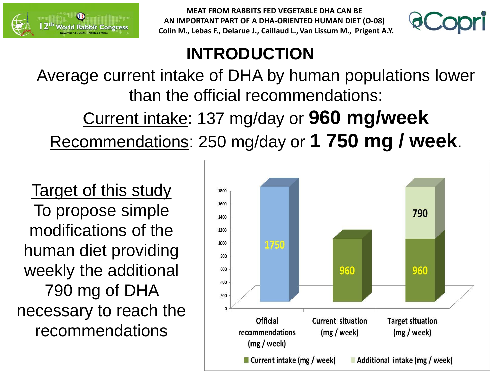



### **INTRODUCTION**

Average current intake of DHA by human populations lower than the official recommendations: Current intake: 137 mg/day or **960 mg/week** 

Recommendations: 250 mg/day or **1 750 mg / week**.

Target of this study To propose simple modifications of the human diet providing weekly the additional 790.mg of DHA necessary to reach the recommendations

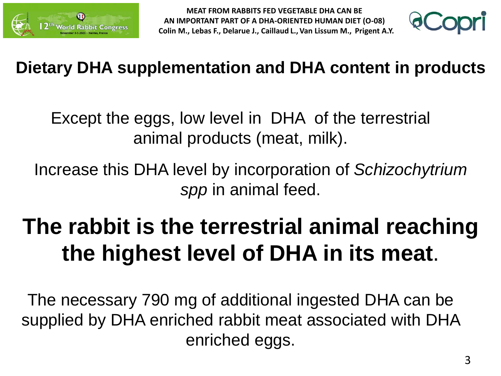



### **Dietary DHA supplementation and DHA content in products**

Except the eggs, low level in DHA of the terrestrial animal products (meat, milk).

Increase this DHA level by incorporation of *Schizochytrium spp* in animal feed.

# **The rabbit is the terrestrial animal reaching the highest level of DHA in its meat**.

The necessary 790 mg of additional ingested DHA can be supplied by DHA enriched rabbit meat associated with DHA enriched eggs.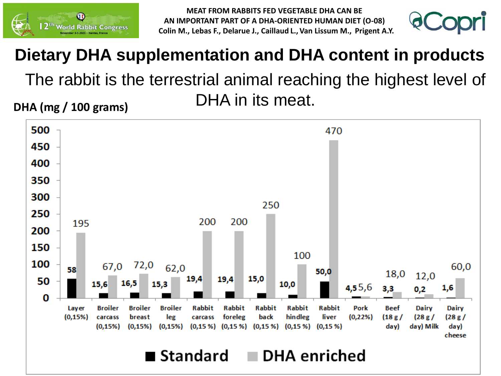



## **Dietary DHA supplementation and DHA content in products** The rabbit is the terrestrial animal reaching the highest level of DHA in its meat.

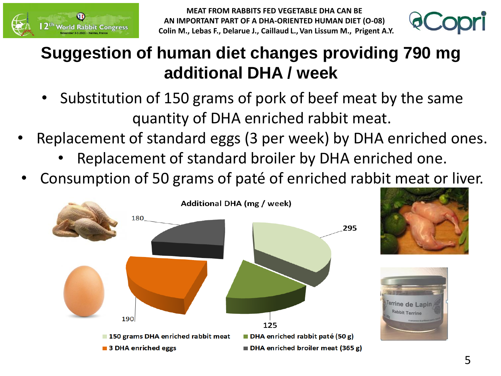



### **Suggestion of human diet changes providing 790.mg additional DHA / week**

- Substitution of 150 grams of pork of beef meat by the same quantity of DHA enriched rabbit meat.
- Replacement of standard eggs (3 per week) by DHA enriched ones.
	- Replacement of standard broiler by DHA enriched one.
- Consumption of 50 grams of paté of enriched rabbit meat or liver.

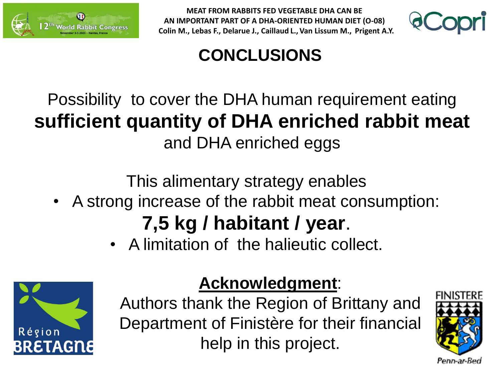



### **CONCLUSIONS**

### Possibility to cover the DHA human requirement eating **sufficient quantity of DHA enriched rabbit meat**  and DHA enriched eggs

This alimentary strategy enables

• A strong increase of the rabbit meat consumption:

## **7,5 kg / habitant / year**.

• A limitation of the halieutic collect.



### **Acknowledgment**:

Authors thank the Region of Brittany and Department of Finistère for their financial help in this project.